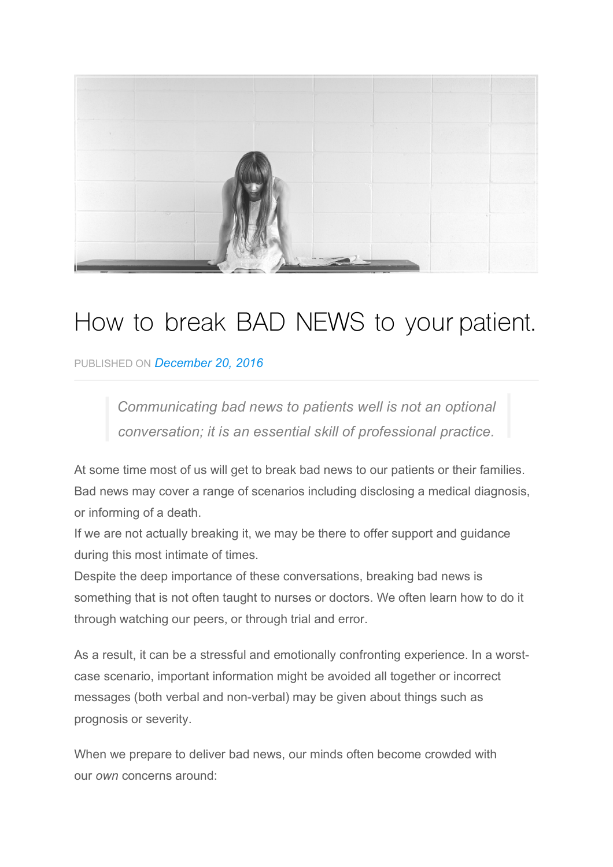

# How to break BAD NEWS to your patient.

PUBLISHED ON *December 20, 2016*

*Communicating bad news to patients well is not an optional conversation; it is an essential skill of professional practice.*

At some time most of us will get to break bad news to our patients or their families. Bad news may cover a range of scenarios including disclosing a medical diagnosis, or informing of a death.

If we are not actually breaking it, we may be there to offer support and guidance during this most intimate of times.

Despite the deep importance of these conversations, breaking bad news is something that is not often taught to nurses or doctors. We often learn how to do it through watching our peers, or through trial and error.

As a result, it can be a stressful and emotionally confronting experience. In a worstcase scenario, important information might be avoided all together or incorrect messages (both verbal and non-verbal) may be given about things such as prognosis or severity.

When we prepare to deliver bad news, our minds often become crowded with our *own* concerns around: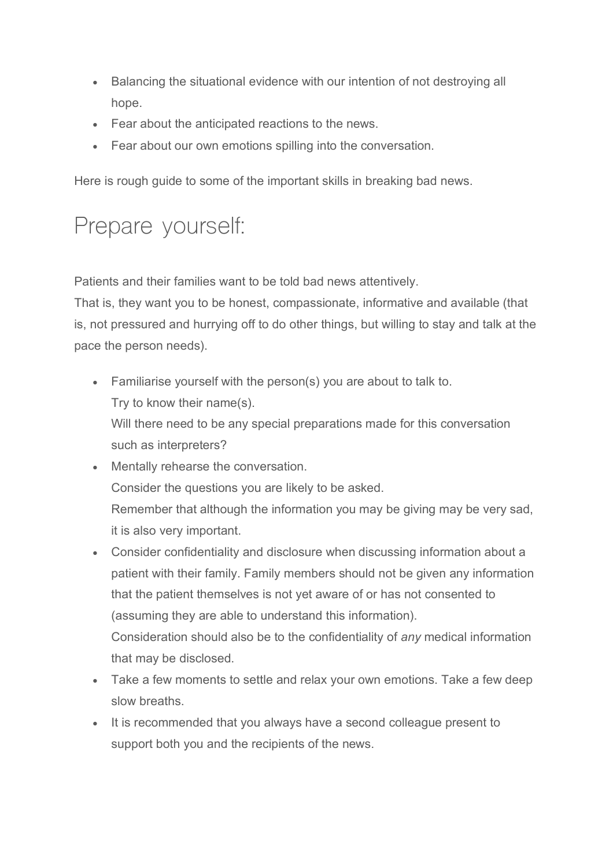- Balancing the situational evidence with our intention of not destroying all hope.
- Fear about the anticipated reactions to the news.
- Fear about our own emotions spilling into the conversation.

Here is rough guide to some of the important skills in breaking bad news.

## Prepare yourself:

Patients and their families want to be told bad news attentively.

That is, they want you to be honest, compassionate, informative and available (that is, not pressured and hurrying off to do other things, but willing to stay and talk at the pace the person needs).

• Familiarise yourself with the person(s) you are about to talk to. Try to know their name(s). Will there need to be any special preparations made for this conversation

such as interpreters?

- Mentally rehearse the conversation. Consider the questions you are likely to be asked. Remember that although the information you may be giving may be very sad, it is also very important.
- Consider confidentiality and disclosure when discussing information about a patient with their family. Family members should not be given any information that the patient themselves is not yet aware of or has not consented to (assuming they are able to understand this information). Consideration should also be to the confidentiality of *any* medical information that may be disclosed.
- Take a few moments to settle and relax your own emotions. Take a few deep slow breaths.
- It is recommended that you always have a second colleague present to support both you and the recipients of the news.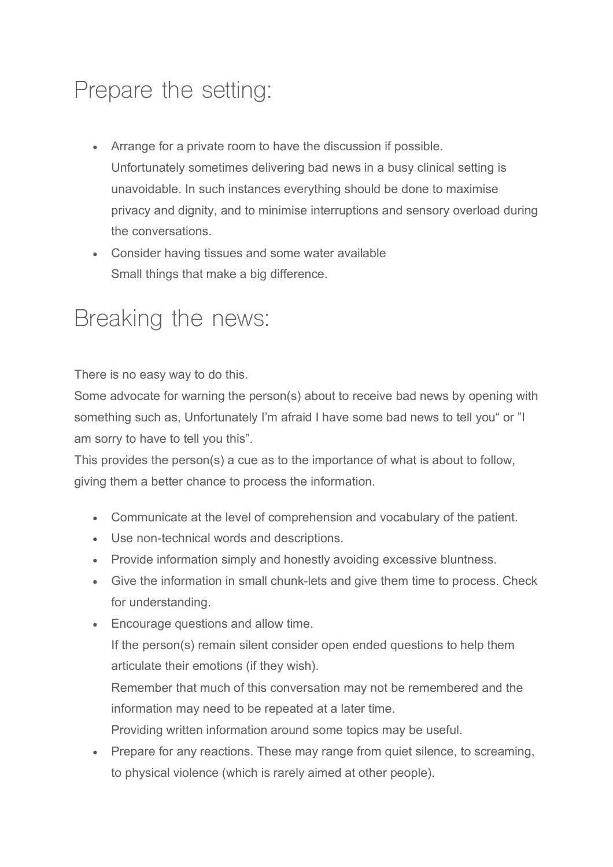## Prepare the setting:

- Arrange for a private room to have the discussion if possible. Unfortunately sometimes delivering bad news in a busy clinical setting is unavoidable. In such instances everything should be done to maximise privacy and dignity, and to minimise interruptions and sensory overload during the conversations.
- Consider having tissues and some water available Small things that make a big difference.

### Breaking the news:

There is no easy way to do this.

Some advocate for warning the person(s) about to receive bad news by opening with something such as, Unfortunately I'm afraid I have some bad news to tell you" or "I am sorry to have to tell you this".

This provides the person(s) a cue as to the importance of what is about to follow, giving them a better chance to process the information.

- Communicate at the level of comprehension and vocabulary of the patient.
- Use non-technical words and descriptions.
- Provide information simply and honestly avoiding excessive bluntness.
- Give the information in small chunk-lets and give them time to process. Check for understanding.
- Encourage questions and allow time.

If the person(s) remain silent consider open ended questions to help them articulate their emotions (if they wish).

Remember that much of this conversation may not be remembered and the information may need to be repeated at a later time.

Providing written information around some topics may be useful.

• Prepare for any reactions. These may range from quiet silence, to screaming, to physical violence (which is rarely aimed at other people).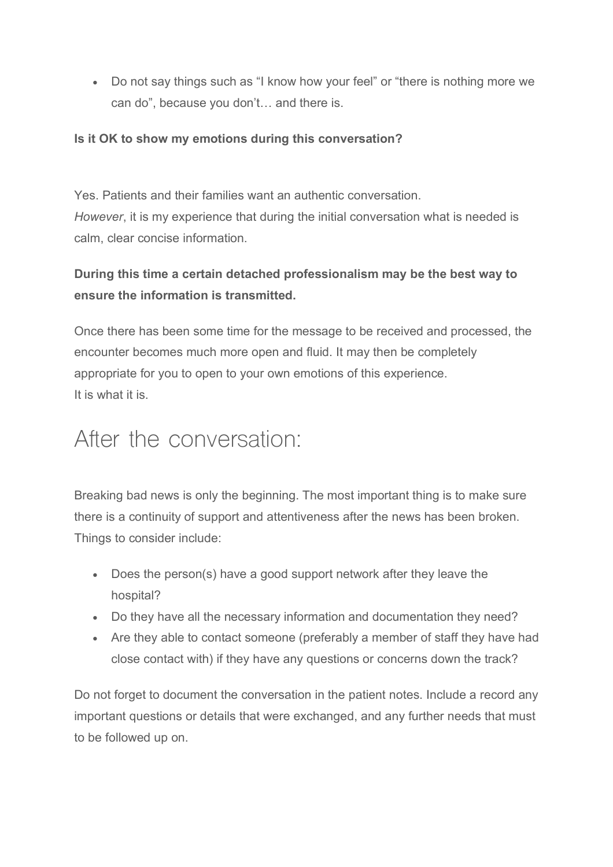• Do not say things such as "I know how your feel" or "there is nothing more we can do", because you don't… and there is.

#### **Is it OK to show my emotions during this conversation?**

Yes. Patients and their families want an authentic conversation. *However*, it is my experience that during the initial conversation what is needed is calm, clear concise information.

### **During this time a certain detached professionalism may be the best way to ensure the information is transmitted.**

Once there has been some time for the message to be received and processed, the encounter becomes much more open and fluid. It may then be completely appropriate for you to open to your own emotions of this experience. It is what it is.

### After the conversation:

Breaking bad news is only the beginning. The most important thing is to make sure there is a continuity of support and attentiveness after the news has been broken. Things to consider include:

- Does the person(s) have a good support network after they leave the hospital?
- Do they have all the necessary information and documentation they need?
- Are they able to contact someone (preferably a member of staff they have had close contact with) if they have any questions or concerns down the track?

Do not forget to document the conversation in the patient notes. Include a record any important questions or details that were exchanged, and any further needs that must to be followed up on.